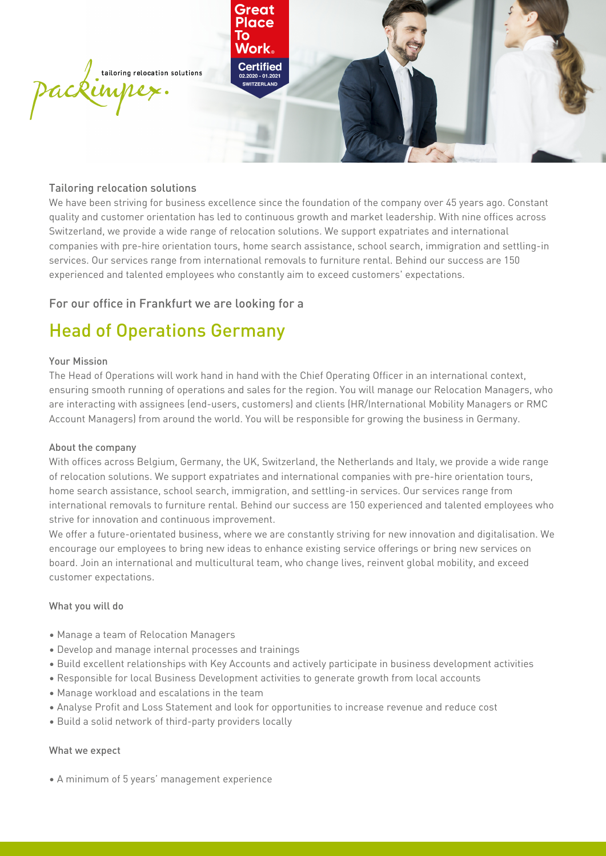

### Tailoring relocation solutions

We have been striving for business excellence since the foundation of the company over 45 years ago. Constant quality and customer orientation has led to continuous growth and market leadership. With nine offices across Switzerland, we provide a wide range of relocation solutions. We support expatriates and international companies with pre-hire orientation tours, home search assistance, school search, immigration and settling-in services. Our services range from international removals to furniture rental. Behind our success are 150 experienced and talented employees who constantly aim to exceed customers' expectations.

## For our office in Frankfurt we are looking for a

# Head of Operations Germany

#### Your Mission

The Head of Operations will work hand in hand with the Chief Operating Officer in an international context, ensuring smooth running of operations and sales for the region. You will manage our Relocation Managers, who are interacting with assignees (end-users, customers) and clients (HR/International Mobility Managers or RMC Account Managers) from around the world. You will be responsible for growing the business in Germany.

#### About the company

With offices across Belgium, Germany, the UK, Switzerland, the Netherlands and Italy, we provide a wide range of relocation solutions. We support expatriates and international companies with pre-hire orientation tours, home search assistance, school search, immigration, and settling-in services. Our services range from international removals to furniture rental. Behind our success are 150 experienced and talented employees who strive for innovation and continuous improvement.

We offer a future-orientated business, where we are constantly striving for new innovation and digitalisation. We encourage our employees to bring new ideas to enhance existing service offerings or bring new services on board. Join an international and multicultural team, who change lives, reinvent global mobility, and exceed customer expectations.

#### What you will do

- • Manage a team of Relocation Managers
- • Develop and manage internal processes and trainings
- • Build excellent relationships with Key Accounts and actively participate in business development activities
- • Responsible for local Business Development activities to generate growth from local accounts
- • Manage workload and escalations in the team
- • Analyse Profit and Loss Statement and look for opportunities to increase revenue and reduce cost
- • Build a solid network of third-party providers locally

#### What we expect

 • A minimum of 5 years' management experience